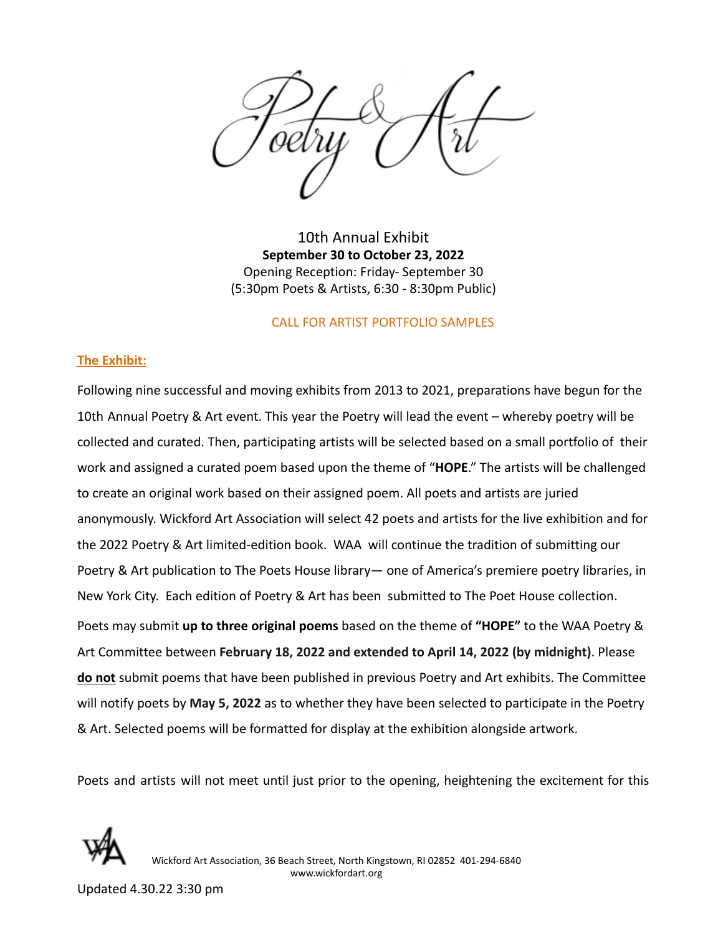10th Annual Exhibit **September 30 to October 23, 2022** Opening Reception: Friday- September 30 (5:30pm Poets & Artists, 6:30 - 8:30pm Public)

#### CALL FOR ARTIST PORTFOLIO SAMPLES

#### **The Exhibit:**

Following nine successful and moving exhibits from 2013 to 2021, preparations have begun for the 10th Annual Poetry & Art event. This year the Poetry will lead the event – whereby poetry will be collected and curated. Then, participating artists will be selected based on a small portfolio of their work and assigned a curated poem based upon the theme of "**HOPE**." The artists will be challenged to create an original work based on their assigned poem. All poets and artists are juried anonymously. Wickford Art Association will select 42 poets and artists for the live exhibition and for the 2022 Poetry & Art limited-edition book. WAA will continue the tradition of submitting our Poetry & Art publication to The Poets House library— one of America's premiere poetry libraries, in New York City. Each edition of Poetry & Art has been submitted to The Poet House collection. Poets may submit **up to three original poems** based on the theme of **"HOPE"** to the WAA Poetry & Art Committee between **February 18, 2022 and extended to April 14, 2022 (by midnight)**. Please **do not** submit poems that have been published in previous Poetry and Art exhibits. The Committee will notify poets by **May 5, 2022** as to whether they have been selected to participate in the Poetry & Art. Selected poems will be formatted for display at the exhibition alongside artwork.

Poets and artists will not meet until just prior to the opening, heightening the excitement for this



Wickford Art Association, 36 Beach Street, North Kingstown, RI 02852 401-294-6840 www.wickfordart.org

Updated 4.30.22 3:30 pm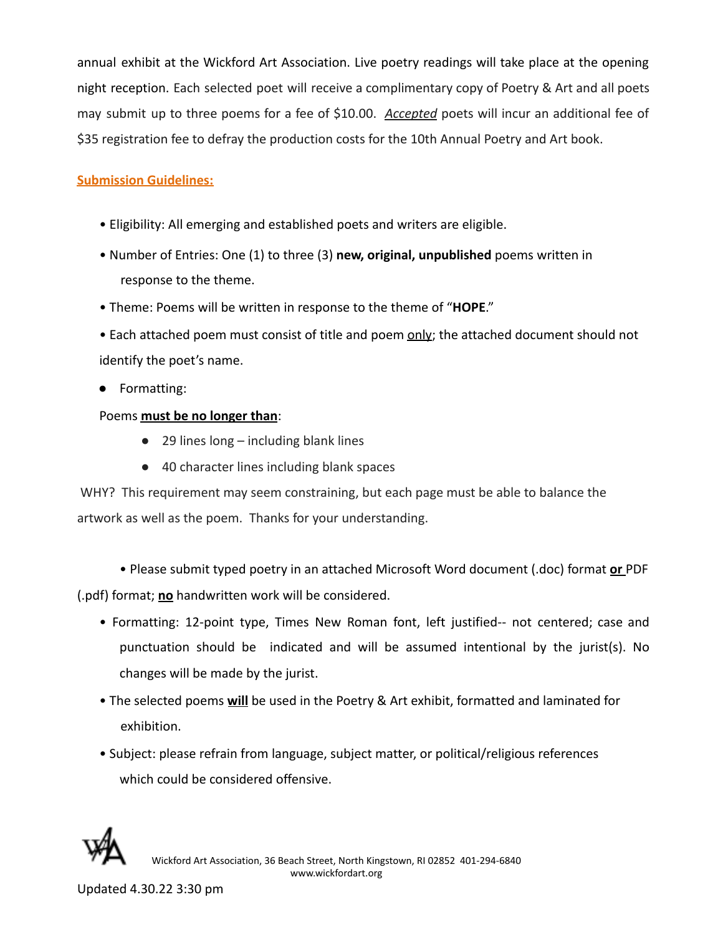annual exhibit at the Wickford Art Association. Live poetry readings will take place at the opening night reception. Each selected poet will receive a complimentary copy of Poetry & Art and all poets may submit up to three poems for a fee of \$10.00. *Accepted* poets will incur an additional fee of \$35 registration fee to defray the production costs for the 10th Annual Poetry and Art book.

# **Submission Guidelines:**

- Eligibility: All emerging and established poets and writers are eligible.
- Number of Entries: One (1) to three (3) **new, original, unpublished** poems written in response to the theme.
- Theme: Poems will be written in response to the theme of "**HOPE**."
- Each attached poem must consist of title and poem only; the attached document should not identify the poet's name.
- Formatting:
- Poems **must be no longer than**:
	- $\bullet$  29 lines long including blank lines
	- 40 character lines including blank spaces

WHY? This requirement may seem constraining, but each page must be able to balance the artwork as well as the poem. Thanks for your understanding.

• Please submit typed poetry in an attached Microsoft Word document (.doc) format **or** PDF (.pdf) format; **no** handwritten work will be considered.

- Formatting: 12-point type, Times New Roman font, left justified-- not centered; case and punctuation should be indicated and will be assumed intentional by the jurist(s). No changes will be made by the jurist.
- The selected poems **will** be used in the Poetry & Art exhibit, formatted and laminated for exhibition.
- Subject: please refrain from language, subject matter, or political/religious references which could be considered offensive.

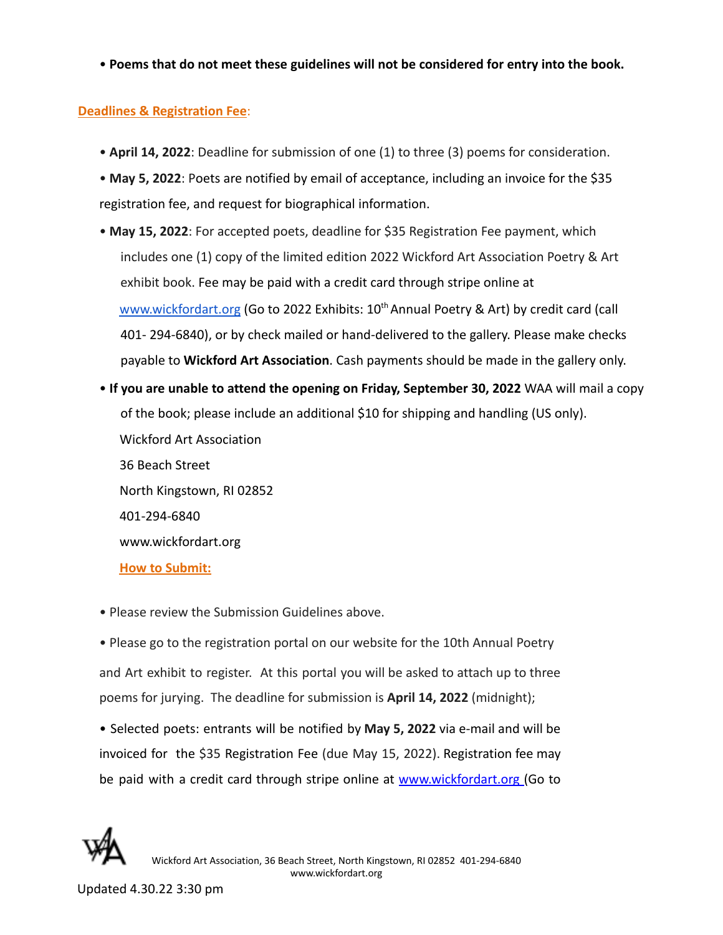• **Poems that do not meet these guidelines will not be considered for entry into the book.**

## **Deadlines & Registration Fee**:

- **April 14, 2022**: Deadline for submission of one (1) to three (3) poems for consideration.
- **May 5, 2022**: Poets are notified by email of acceptance, including an invoice for the \$35 registration fee, and request for biographical information.
- **May 15, 2022**: For accepted poets, deadline for \$35 Registration Fee payment, which includes one (1) copy of the limited edition 2022 Wickford Art Association Poetry & Art exhibit book. Fee may be paid with a credit card through stripe online at [www.wickfordart.org](http://www.wickfordart.org) (Go to 2022 Exhibits: 10<sup>th</sup> Annual Poetry & Art) by credit card (call 401- 294-6840), or by check mailed or hand-delivered to the gallery. Please make checks payable to **Wickford Art Association**. Cash payments should be made in the gallery only.
- **If you are unable to attend the opening on Friday, September 30, 2022** WAA will mail a copy of the book; please include an additional \$10 for shipping and handling (US only). Wickford Art Association 36 Beach Street North Kingstown, RI 02852 401-294-6840 www.wickfordart.org

**How to Submit:**

- Please review the Submission Guidelines above.
- Please go to the registration portal on our website for the 10th Annual Poetry and Art exhibit to register. At this portal you will be asked to attach up to three poems for jurying. The deadline for submission is **April 14, 2022** (midnight);

• Selected poets: entrants will be notified by **May 5, 2022** via e-mail and will be invoiced for the \$35 Registration Fee (due May 15, 2022). Registration fee may be paid with a credit card through stripe online at www.wickfordart.org (Go to